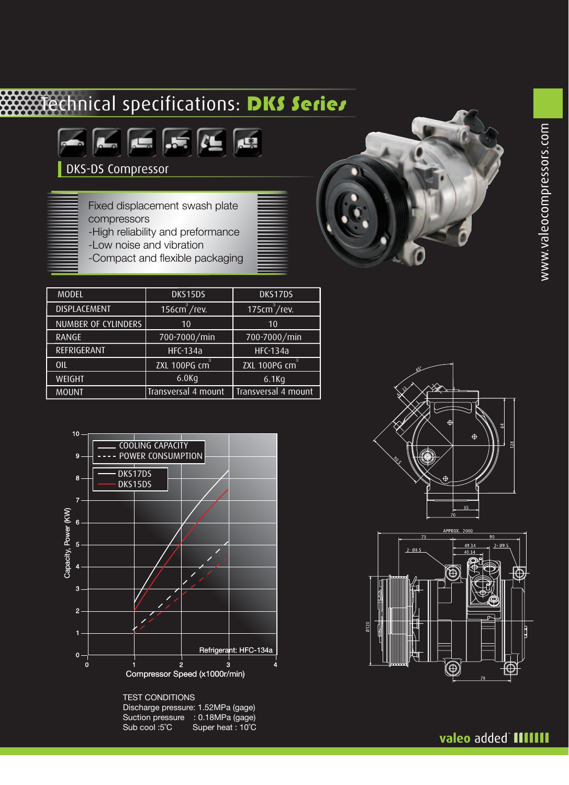# **TECHNICAL Specifications: DKS Series**



DKS-DS Compressor

Fixed displacement swash plate compressors

- -High reliability and preformance
- -Low noise and vibration
- -Compact and flexible packaging

| <b>MODEL</b>               | DKS15DS                   | DKS17DS                                              |  |
|----------------------------|---------------------------|------------------------------------------------------|--|
| <b>DISPLACEMENT</b>        | 156cm <sup>3</sup> /rev.  | 175cm <sup>3</sup> /rev.                             |  |
| <b>NUMBER OF CYLINDERS</b> | 10                        | 10                                                   |  |
| <b>RANGE</b>               | 700-7000/min              | 700-7000/min                                         |  |
| REFRIGERANT                | <b>HFC-134a</b>           | <b>HFC-134a</b>                                      |  |
| OIL                        | ZXL 100PG cm <sup>3</sup> | $\overline{\text{ZXL}}$ 100PG $\overline{\text{cm}}$ |  |
| WEIGHT                     | $6.0$ Kg<br>$6.1$ Kg      |                                                      |  |
| <b>MOUNT</b>               | Transversal 4 mount       | Transversal 4 mount                                  |  |



TEST CONDITIONS Discharge pressure: 1.52MPa (gage)

Suction pressure : 0.18MPa (gage Sub cool :5°C Super heat : 10°  $re$  : 0.18MPa (gage) C





### valeo added **HIIIII**